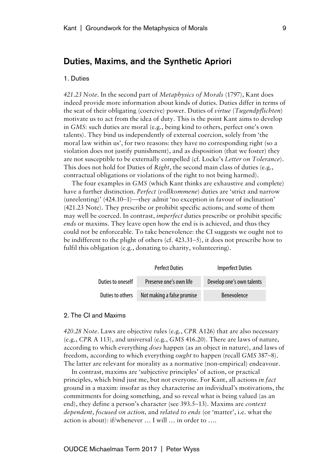## Duties, Maxims, and the Synthetic Apriori

## 1. Duties

*421.23 Note*. In the second part of *Metaphysics of Morals* (1797), Kant does indeed provide more information about kinds of duties. Duties differ in terms of the seat of their obligating (coercive) power. Duties of *virtue* (*Tugendpflichten*) motivate us to act from the idea of duty. This is the point Kant aims to develop in *GMS*: such duties are moral (e.g., being kind to others, perfect one's own talents). They bind us independently of external coercion, solely from 'the moral law within us', for two reasons: they have no corresponding right (so a violation does not justify punishment), and as disposition (that we foster) they are not susceptible to be externally compelled (cf. Locke's *Letter on Tolerance*). This does not hold for Duties of *Right*, the second main class of duties (e.g., contractual obligations or violations of the right to not being harmed).

The four examples in *GMS* (which Kant thinks are exhaustive and complete) have a further distinction. *Perfect* (*vollkommene*) duties are 'strict and narrow (unrelenting)' (424.10–1)—they admit 'no exception in favour of inclination' (421.23 Note). They prescribe or prohibit specific actions; and some of them may well be coerced. In contrast, *imperfect* duties prescribe or prohibit specific *ends* or maxims. They leave open how the end is is achieved, and thus they could not be enforceable. To take benevolence: the CI suggests we ought not to be indifferent to the plight of others (cf. 423.31–5), it does not prescribe how to fulfil this obligation (e.g., donating to charity, volunteering).

|                   | <b>Perfect Duties</b>      | <b>Imperfect Duties</b>   |  |
|-------------------|----------------------------|---------------------------|--|
| Duties to oneself | Preserve one's own life    | Develop one's own talents |  |
| Duties to others  | Not making a false promise | <b>Benevolence</b>        |  |

## 2. The CI and Maxims

*420.28 Note*. Laws are objective rules (e.g., *CPR* A126) that are also necessary (e.g., *CPR* A 113), and universal (e.g., *GMS* 416.20). There are laws of nature, according to which everything *does* happen (as an object in nature), and laws of freedom, according to which everything *ought* to happen (recall *GMS* 387–8). The latter are relevant for morality as a normative (non-empirical) endeavour.

In contrast, maxims are 'subjective principles' of action, or practical principles, which bind just me, but not everyone. For Kant, all actions *in fact* ground in a maxim: insofar as they characterise an individual's motivations, the commitments for doing something, and so reveal what is being valued (as an end), they define a person's character (see 393.5–13). Maxims are *context dependent*, *focused on action*, and *related to ends* (or 'matter', i.e. what the action is about): if/whenever … I will … in order to ….